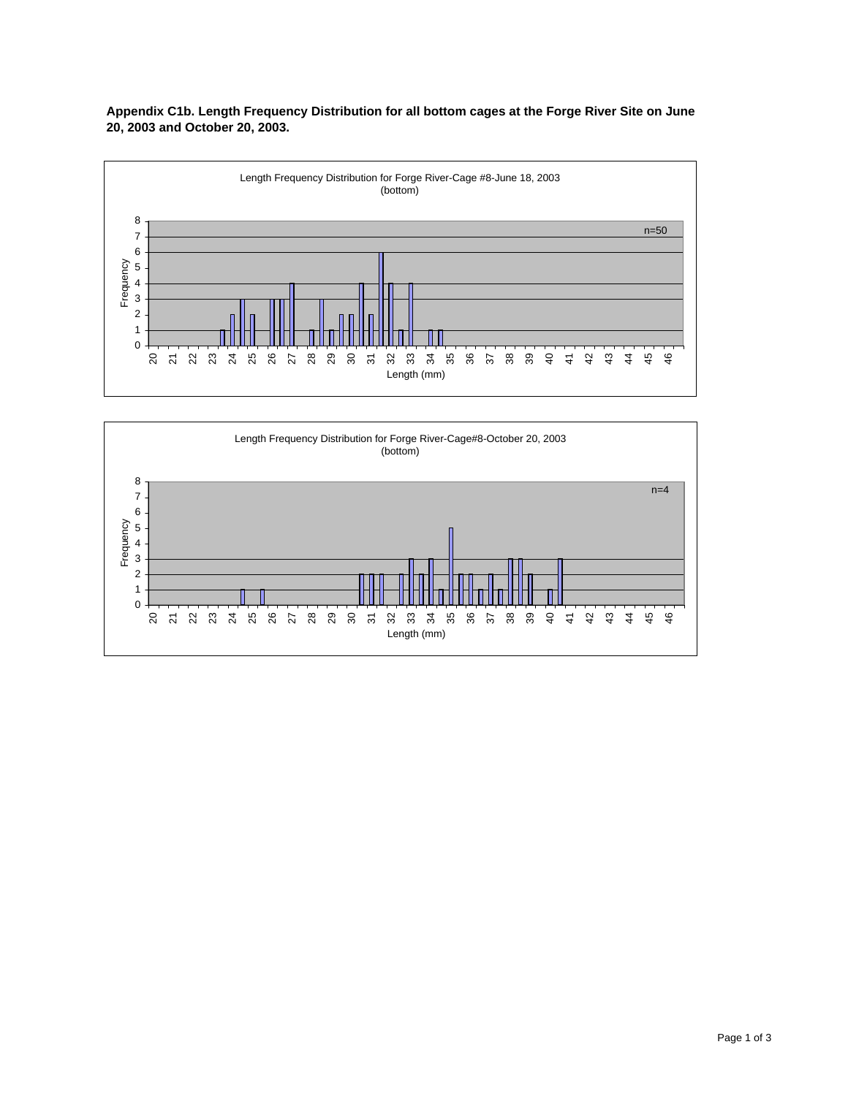

**Appendix C1b. Length Frequency Distribution for all bottom cages at the Forge River Site on June 20, 2003 and October 20, 2003.**

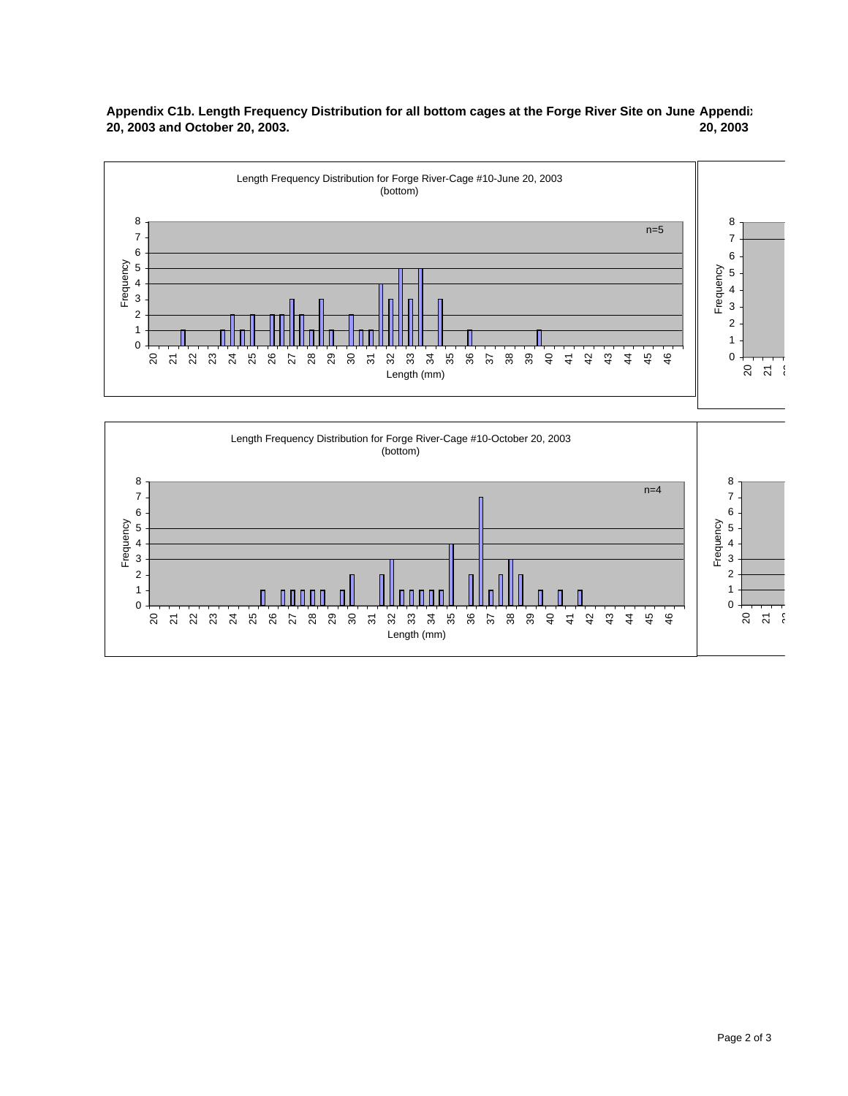



32 32 33 34 35 36

Length (mm)

a 4  $\frac{1}{4}$ 

44 45 46

21 22

21 22 23 24 25 26 27 28 29 30

 $\overline{3}$